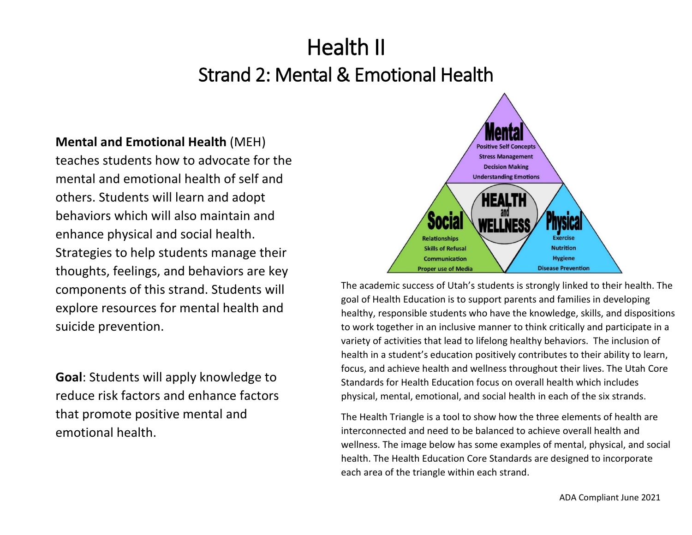# Health II Strand 2: Mental & Emotional Health

**Mental and Emotional Health** (MEH) teaches students how to advocate for the mental and emotional health of self and others. Students will learn and adopt behaviors which will also maintain and enhance physical and social health. Strategies to help students manage their thoughts, feelings, and behaviors are key components of this strand. Students will explore resources for mental health and suicide prevention.

**Goal**: Students will apply knowledge to reduce risk factors and enhance factors that promote positive mental and emotional health.



The academic success of Utah's students is strongly linked to their health. The goal of Health Education is to support parents and families in developing healthy, responsible students who have the knowledge, skills, and dispositions to work together in an inclusive manner to think critically and participate in a variety of activities that lead to lifelong healthy behaviors. The inclusion of health in a student's education positively contributes to their ability to learn, focus, and achieve health and wellness throughout their lives. The Utah Core Standards for Health Education focus on overall health which includes physical, mental, emotional, and social health in each of the six strands.

The Health Triangle is a tool to show how the three elements of health are interconnected and need to be balanced to achieve overall health and wellness. The image below has some examples of mental, physical, and social health. The Health Education Core Standards are designed to incorporate each area of the triangle within each strand.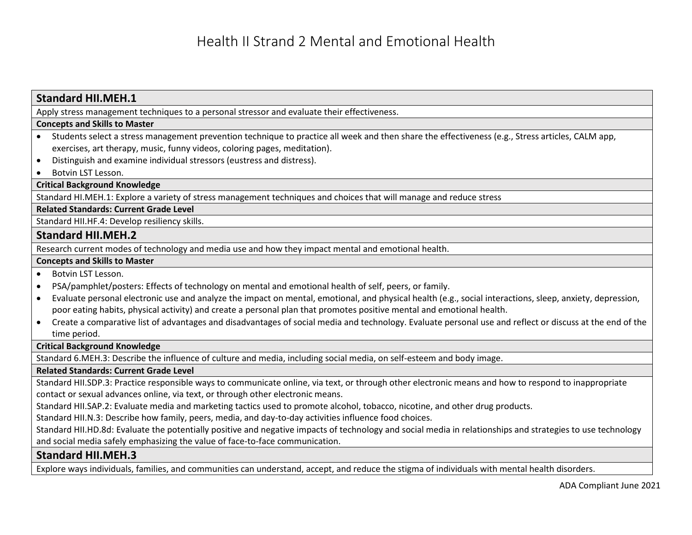# **Standard HII.MEH.1** Apply stress management techniques to a personal stressor and evaluate their effectiveness. **Concepts and Skills to Master**  • Students select a stress management prevention technique to practice all week and then share the effectiveness (e.g., Stress articles, CALM app, exercises, art therapy, music, funny videos, coloring pages, meditation). • Distinguish and examine individual stressors (eustress and distress). • Botvin LST Lesson. **Critical Background Knowledge** Standard HI.MEH.1: Explore a variety of stress management techniques and choices that will manage and reduce stress **Related Standards: Current Grade Level** Standard HII.HF.4: Develop resiliency skills. **Standard HII.MEH.2** Research current modes of technology and media use and how they impact mental and emotional health. **Concepts and Skills to Master**  • Botvin LST Lesson. • PSA/pamphlet/posters: Effects of technology on mental and emotional health of self, peers, or family. • Evaluate personal electronic use and analyze the impact on mental, emotional, and physical health (e.g., social interactions, sleep, anxiety, depression, poor eating habits, physical activity) and create a personal plan that promotes positive mental and emotional health. • Create a comparative list of advantages and disadvantages of social media and technology. Evaluate personal use and reflect or discuss at the end of the time period. **Critical Background Knowledge** Standard 6.MEH.3: Describe the influence of culture and media, including social media, on self-esteem and body image. **Related Standards: Current Grade Level** Standard HII.SDP.3: Practice responsible ways to communicate online, via text, or through other electronic means and how to respond to inappropriate contact or sexual advances online, via text, or through other electronic means. Standard HII.SAP.2: Evaluate media and marketing tactics used to promote alcohol, tobacco, nicotine, and other drug products. Standard HII.N.3: Describe how family, peers, media, and day-to-day activities influence food choices. Standard HII.HD.8d: Evaluate the potentially positive and negative impacts of technology and social media in relationships and strategies to use technology and social media safely emphasizing the value of face-to-face communication. **Standard HII.MEH.3**

Explore ways individuals, families, and communities can understand, accept, and reduce the stigma of individuals with mental health disorders.

ADA Compliant June 2021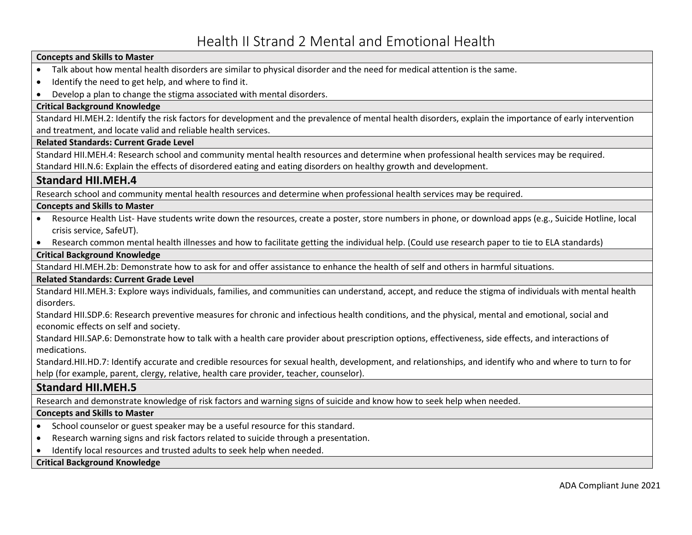#### **Concepts and Skills to Master**

- Talk about how mental health disorders are similar to physical disorder and the need for medical attention is the same.
- Identify the need to get help, and where to find it.
- Develop a plan to change the stigma associated with mental disorders.

#### **Critical Background Knowledge**

Standard HI.MEH.2: Identify the risk factors for development and the prevalence of mental health disorders, explain the importance of early intervention and treatment, and locate valid and reliable health services.

#### **Related Standards: Current Grade Level**

Standard HII.MEH.4: Research school and community mental health resources and determine when professional health services may be required. Standard HII.N.6: Explain the effects of disordered eating and eating disorders on healthy growth and development.

## **Standard HII.MEH.4**

Research school and community mental health resources and determine when professional health services may be required.

#### **Concepts and Skills to Master**

- Resource Health List- Have students write down the resources, create a poster, store numbers in phone, or download apps (e.g., Suicide Hotline, local crisis service, SafeUT).
- Research common mental health illnesses and how to facilitate getting the individual help. (Could use research paper to tie to ELA standards)

#### **Critical Background Knowledge**

Standard HI.MEH.2b: Demonstrate how to ask for and offer assistance to enhance the health of self and others in harmful situations.

#### **Related Standards: Current Grade Level**

Standard HII.MEH.3: Explore ways individuals, families, and communities can understand, accept, and reduce the stigma of individuals with mental health disorders.

Standard HII.SDP.6: Research preventive measures for chronic and infectious health conditions, and the physical, mental and emotional, social and economic effects on self and society.

Standard HII.SAP.6: Demonstrate how to talk with a health care provider about prescription options, effectiveness, side effects, and interactions of medications.

Standard.HII.HD.7: Identify accurate and credible resources for sexual health, development, and relationships, and identify who and where to turn to for help (for example, parent, clergy, relative, health care provider, teacher, counselor).

# **Standard HII.MEH.5**

Research and demonstrate knowledge of risk factors and warning signs of suicide and know how to seek help when needed.

#### **Concepts and Skills to Master**

- School counselor or guest speaker may be a useful resource for this standard.
- Research warning signs and risk factors related to suicide through a presentation.
- Identify local resources and trusted adults to seek help when needed.

#### **Critical Background Knowledge**